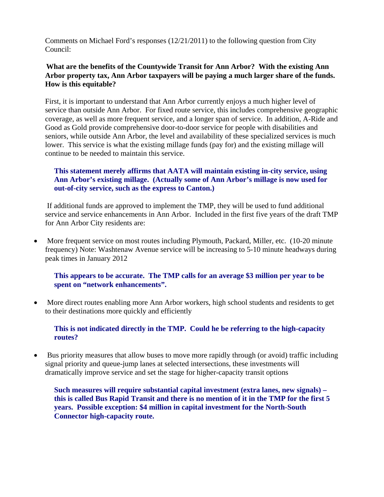Comments on Michael Ford's responses (12/21/2011) to the following question from City Council:

#### **What are the benefits of the Countywide Transit for Ann Arbor? With the existing Ann Arbor property tax, Ann Arbor taxpayers will be paying a much larger share of the funds. How is this equitable?**

First, it is important to understand that Ann Arbor currently enjoys a much higher level of service than outside Ann Arbor. For fixed route service, this includes comprehensive geographic coverage, as well as more frequent service, and a longer span of service. In addition, A-Ride and Good as Gold provide comprehensive door-to-door service for people with disabilities and seniors, while outside Ann Arbor, the level and availability of these specialized services is much lower. This service is what the existing millage funds (pay for) and the existing millage will continue to be needed to maintain this service.

# **This statement merely affirms that AATA will maintain existing in-city service, using Ann Arbor's existing millage. (Actually some of Ann Arbor's millage is now used for out-of-city service, such as the express to Canton.)**

 If additional funds are approved to implement the TMP, they will be used to fund additional service and service enhancements in Ann Arbor. Included in the first five years of the draft TMP for Ann Arbor City residents are:

• More frequent service on most routes including Plymouth, Packard, Miller, etc. (10-20 minute frequency) Note: Washtenaw Avenue service will be increasing to 5-10 minute headways during peak times in January 2012

## **This appears to be accurate. The TMP calls for an average \$3 million per year to be spent on "network enhancements".**

• More direct routes enabling more Ann Arbor workers, high school students and residents to get to their destinations more quickly and efficiently

## **This is not indicated directly in the TMP. Could he be referring to the high-capacity routes?**

• Bus priority measures that allow buses to move more rapidly through (or avoid) traffic including signal priority and queue-jump lanes at selected intersections, these investments will dramatically improve service and set the stage for higher-capacity transit options

**Such measures will require substantial capital investment (extra lanes, new signals) – this is called Bus Rapid Transit and there is no mention of it in the TMP for the first 5 years. Possible exception: \$4 million in capital investment for the North-South Connector high-capacity route.**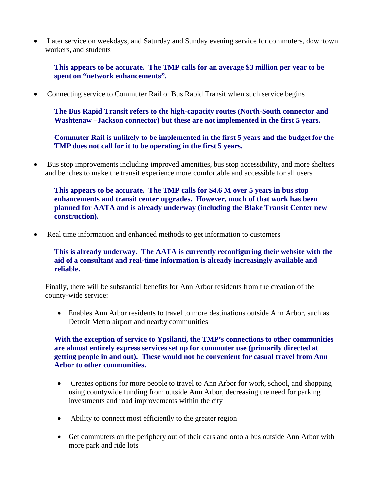• Later service on weekdays, and Saturday and Sunday evening service for commuters, downtown workers, and students

**This appears to be accurate. The TMP calls for an average \$3 million per year to be spent on "network enhancements".** 

• Connecting service to Commuter Rail or Bus Rapid Transit when such service begins

**The Bus Rapid Transit refers to the high-capacity routes (North-South connector and Washtenaw –Jackson connector) but these are not implemented in the first 5 years.** 

**Commuter Rail is unlikely to be implemented in the first 5 years and the budget for the TMP does not call for it to be operating in the first 5 years.** 

• Bus stop improvements including improved amenities, bus stop accessibility, and more shelters and benches to make the transit experience more comfortable and accessible for all users

**This appears to be accurate. The TMP calls for \$4.6 M over 5 years in bus stop enhancements and transit center upgrades. However, much of that work has been planned for AATA and is already underway (including the Blake Transit Center new construction).** 

• Real time information and enhanced methods to get information to customers

**This is already underway. The AATA is currently reconfiguring their website with the aid of a consultant and real-time information is already increasingly available and reliable.** 

Finally, there will be substantial benefits for Ann Arbor residents from the creation of the county-wide service:

• Enables Ann Arbor residents to travel to more destinations outside Ann Arbor, such as Detroit Metro airport and nearby communities

**With the exception of service to Ypsilanti, the TMP's connections to other communities are almost entirely express services set up for commuter use (primarily directed at getting people in and out). These would not be convenient for casual travel from Ann Arbor to other communities.** 

- Creates options for more people to travel to Ann Arbor for work, school, and shopping using countywide funding from outside Ann Arbor, decreasing the need for parking investments and road improvements within the city
- Ability to connect most efficiently to the greater region
- Get commuters on the periphery out of their cars and onto a bus outside Ann Arbor with more park and ride lots